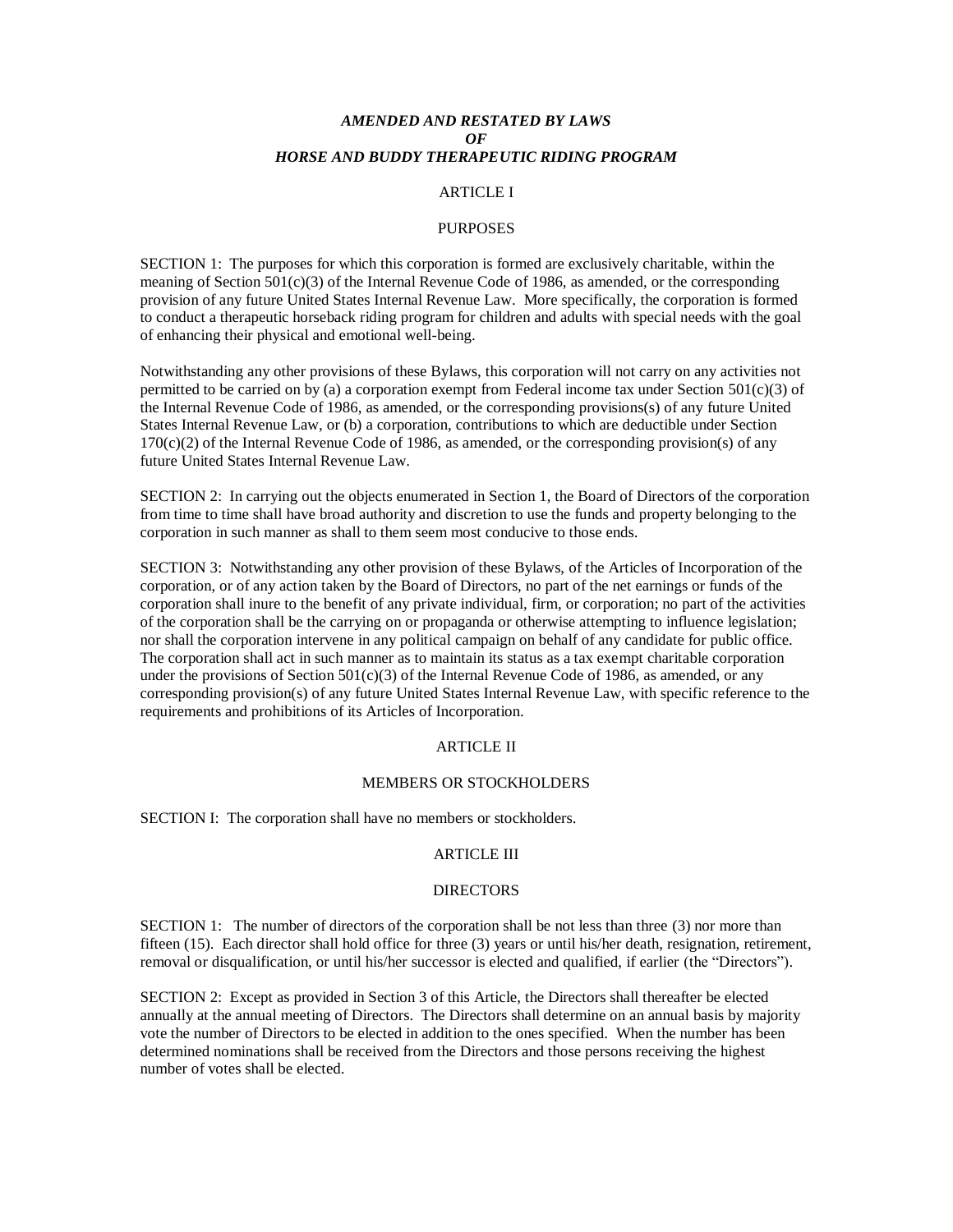# *AMENDED AND RESTATED BY LAWS OF HORSE AND BUDDY THERAPEUTIC RIDING PROGRAM*

## ARTICLE I

### PURPOSES

SECTION 1: The purposes for which this corporation is formed are exclusively charitable, within the meaning of Section 501(c)(3) of the Internal Revenue Code of 1986, as amended, or the corresponding provision of any future United States Internal Revenue Law. More specifically, the corporation is formed to conduct a therapeutic horseback riding program for children and adults with special needs with the goal of enhancing their physical and emotional well-being.

Notwithstanding any other provisions of these Bylaws, this corporation will not carry on any activities not permitted to be carried on by (a) a corporation exempt from Federal income tax under Section  $501(c)(3)$  of the Internal Revenue Code of 1986, as amended, or the corresponding provisions(s) of any future United States Internal Revenue Law, or (b) a corporation, contributions to which are deductible under Section  $170(c)(2)$  of the Internal Revenue Code of 1986, as amended, or the corresponding provision(s) of any future United States Internal Revenue Law.

SECTION 2: In carrying out the objects enumerated in Section 1, the Board of Directors of the corporation from time to time shall have broad authority and discretion to use the funds and property belonging to the corporation in such manner as shall to them seem most conducive to those ends.

SECTION 3: Notwithstanding any other provision of these Bylaws, of the Articles of Incorporation of the corporation, or of any action taken by the Board of Directors, no part of the net earnings or funds of the corporation shall inure to the benefit of any private individual, firm, or corporation; no part of the activities of the corporation shall be the carrying on or propaganda or otherwise attempting to influence legislation; nor shall the corporation intervene in any political campaign on behalf of any candidate for public office. The corporation shall act in such manner as to maintain its status as a tax exempt charitable corporation under the provisions of Section  $501(c)(3)$  of the Internal Revenue Code of 1986, as amended, or any corresponding provision(s) of any future United States Internal Revenue Law, with specific reference to the requirements and prohibitions of its Articles of Incorporation.

#### ARTICLE II

### MEMBERS OR STOCKHOLDERS

SECTION I: The corporation shall have no members or stockholders.

# ARTICLE III

#### **DIRECTORS**

SECTION 1: The number of directors of the corporation shall be not less than three (3) nor more than fifteen (15). Each director shall hold office for three (3) years or until his/her death, resignation, retirement, removal or disqualification, or until his/her successor is elected and qualified, if earlier (the "Directors").

SECTION 2: Except as provided in Section 3 of this Article, the Directors shall thereafter be elected annually at the annual meeting of Directors. The Directors shall determine on an annual basis by majority vote the number of Directors to be elected in addition to the ones specified. When the number has been determined nominations shall be received from the Directors and those persons receiving the highest number of votes shall be elected.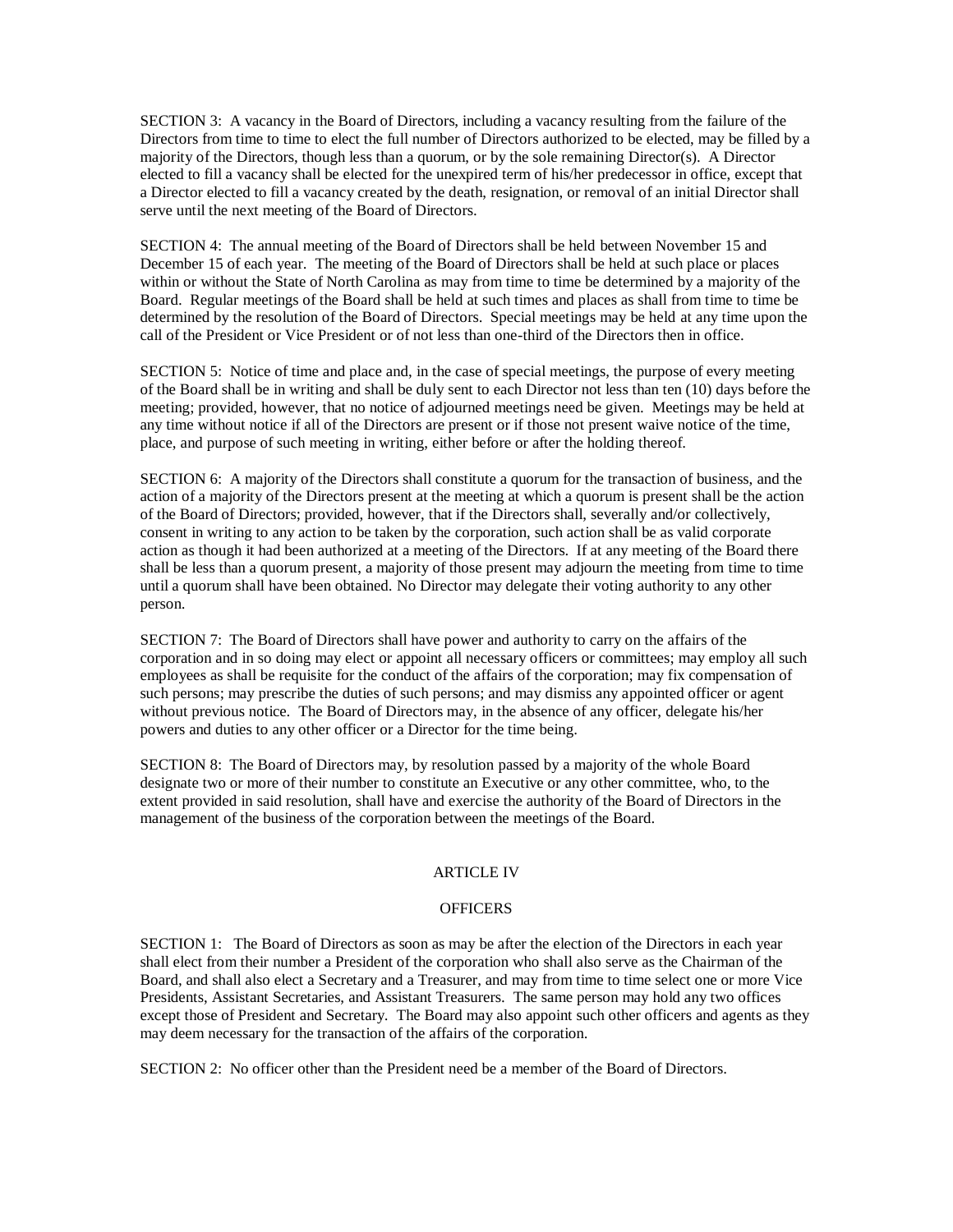SECTION 3: A vacancy in the Board of Directors, including a vacancy resulting from the failure of the Directors from time to time to elect the full number of Directors authorized to be elected, may be filled by a majority of the Directors, though less than a quorum, or by the sole remaining Director(s). A Director elected to fill a vacancy shall be elected for the unexpired term of his/her predecessor in office, except that a Director elected to fill a vacancy created by the death, resignation, or removal of an initial Director shall serve until the next meeting of the Board of Directors.

SECTION 4: The annual meeting of the Board of Directors shall be held between November 15 and December 15 of each year. The meeting of the Board of Directors shall be held at such place or places within or without the State of North Carolina as may from time to time be determined by a majority of the Board. Regular meetings of the Board shall be held at such times and places as shall from time to time be determined by the resolution of the Board of Directors. Special meetings may be held at any time upon the call of the President or Vice President or of not less than one-third of the Directors then in office.

SECTION 5: Notice of time and place and, in the case of special meetings, the purpose of every meeting of the Board shall be in writing and shall be duly sent to each Director not less than ten (10) days before the meeting; provided, however, that no notice of adjourned meetings need be given. Meetings may be held at any time without notice if all of the Directors are present or if those not present waive notice of the time, place, and purpose of such meeting in writing, either before or after the holding thereof.

SECTION 6: A majority of the Directors shall constitute a quorum for the transaction of business, and the action of a majority of the Directors present at the meeting at which a quorum is present shall be the action of the Board of Directors; provided, however, that if the Directors shall, severally and/or collectively, consent in writing to any action to be taken by the corporation, such action shall be as valid corporate action as though it had been authorized at a meeting of the Directors. If at any meeting of the Board there shall be less than a quorum present, a majority of those present may adjourn the meeting from time to time until a quorum shall have been obtained. No Director may delegate their voting authority to any other person.

SECTION 7: The Board of Directors shall have power and authority to carry on the affairs of the corporation and in so doing may elect or appoint all necessary officers or committees; may employ all such employees as shall be requisite for the conduct of the affairs of the corporation; may fix compensation of such persons; may prescribe the duties of such persons; and may dismiss any appointed officer or agent without previous notice. The Board of Directors may, in the absence of any officer, delegate his/her powers and duties to any other officer or a Director for the time being.

SECTION 8: The Board of Directors may, by resolution passed by a majority of the whole Board designate two or more of their number to constitute an Executive or any other committee, who, to the extent provided in said resolution, shall have and exercise the authority of the Board of Directors in the management of the business of the corporation between the meetings of the Board.

# ARTICLE IV

## **OFFICERS**

SECTION 1: The Board of Directors as soon as may be after the election of the Directors in each year shall elect from their number a President of the corporation who shall also serve as the Chairman of the Board, and shall also elect a Secretary and a Treasurer, and may from time to time select one or more Vice Presidents, Assistant Secretaries, and Assistant Treasurers. The same person may hold any two offices except those of President and Secretary. The Board may also appoint such other officers and agents as they may deem necessary for the transaction of the affairs of the corporation.

SECTION 2: No officer other than the President need be a member of the Board of Directors.